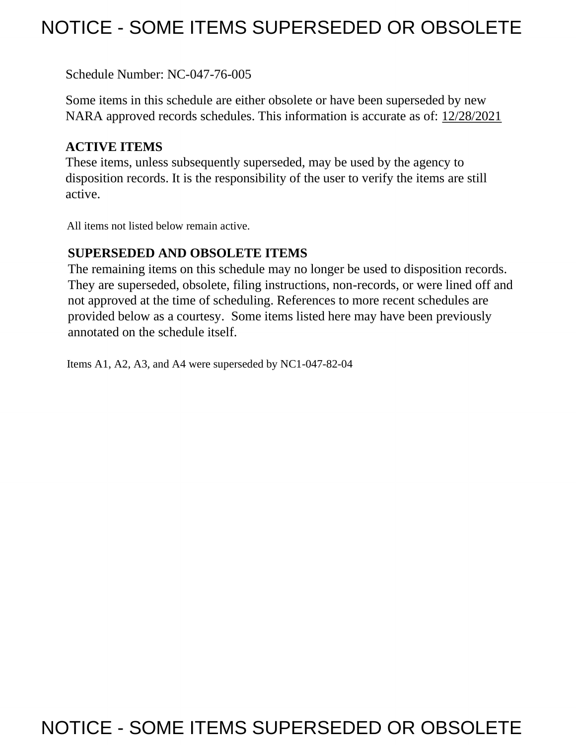# NOTICE - SOME ITEMS SUPERSEDED OR OBSOLETE

Schedule Number: NC-047-76-005

 Some items in this schedule are either obsolete or have been superseded by new NARA approved records schedules. This information is accurate as of: 12/28/2021

## **ACTIVE ITEMS**

 These items, unless subsequently superseded, may be used by the agency to disposition records. It is the responsibility of the user to verify the items are still active.

All items not listed below remain active.

### **SUPERSEDED AND OBSOLETE ITEMS**

 The remaining items on this schedule may no longer be used to disposition records. not approved at the time of scheduling. References to more recent schedules are provided below as a courtesy. Some items listed here may have been previously They are superseded, obsolete, filing instructions, non-records, or were lined off and annotated on the schedule itself.

Items A1, A2, A3, and A4 were superseded by NC1-047-82-04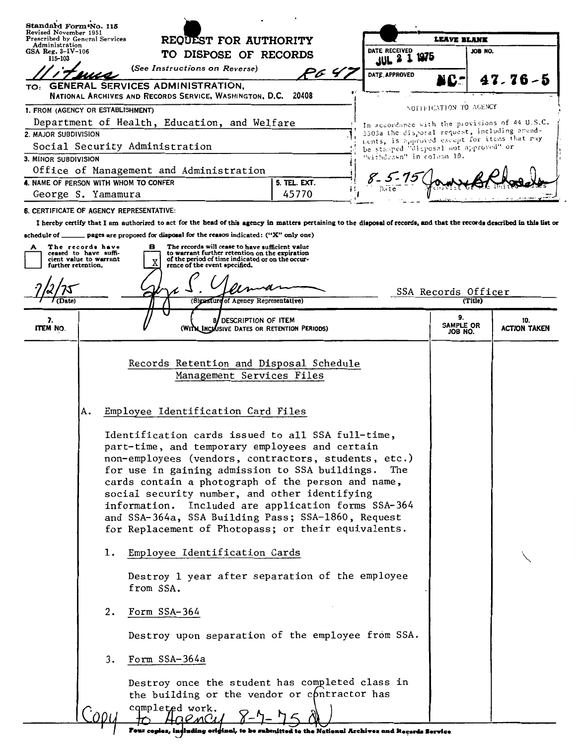| Standard Form No. 115<br>Revised November 1951                        | REQUEST FOR AUTHORITY<br>DATE RECEIVED<br>TO DISPOSE OF RECORDS                                                                                                                                                                                                                                                                                                                                                                                                                                                                                                                                                                                                                                                                                                                                      |        |                                                                                                |                        |                     |  |
|-----------------------------------------------------------------------|------------------------------------------------------------------------------------------------------------------------------------------------------------------------------------------------------------------------------------------------------------------------------------------------------------------------------------------------------------------------------------------------------------------------------------------------------------------------------------------------------------------------------------------------------------------------------------------------------------------------------------------------------------------------------------------------------------------------------------------------------------------------------------------------------|--------|------------------------------------------------------------------------------------------------|------------------------|---------------------|--|
| Prescribed by General Services<br>Administration                      |                                                                                                                                                                                                                                                                                                                                                                                                                                                                                                                                                                                                                                                                                                                                                                                                      |        | <b>LEAVE BLANK</b>                                                                             |                        |                     |  |
| GSA Reg. $3-IV-106$<br>115-103                                        |                                                                                                                                                                                                                                                                                                                                                                                                                                                                                                                                                                                                                                                                                                                                                                                                      |        | 1975<br>$JUL$ $2$ $1$                                                                          | JOB NO.                |                     |  |
|                                                                       | (See Instructions on Reverse)                                                                                                                                                                                                                                                                                                                                                                                                                                                                                                                                                                                                                                                                                                                                                                        | P6 4.  | DATE, APPROVED                                                                                 |                        |                     |  |
| TO:                                                                   | <b>GENERAL SERVICES ADMINISTRATION,</b>                                                                                                                                                                                                                                                                                                                                                                                                                                                                                                                                                                                                                                                                                                                                                              |        |                                                                                                | VC-                    | $47.76 - 5$         |  |
|                                                                       | NATIONAL ARCHIVES AND RECORDS SERVICE, WASHINGTON, D.C. 20408                                                                                                                                                                                                                                                                                                                                                                                                                                                                                                                                                                                                                                                                                                                                        |        |                                                                                                |                        |                     |  |
| 1. FROM (AGENCY OR ESTABLISHMENT)                                     |                                                                                                                                                                                                                                                                                                                                                                                                                                                                                                                                                                                                                                                                                                                                                                                                      |        |                                                                                                | NOTIFICATION TO AGENCY |                     |  |
| 2. MAJOR SUBDIVISION                                                  | Department of Health, Education, and Welfare                                                                                                                                                                                                                                                                                                                                                                                                                                                                                                                                                                                                                                                                                                                                                         |        | In accordance with the provisions of 44 U.S.C.<br>3505a the disposal request, including amend- |                        |                     |  |
|                                                                       | Social Security Administration                                                                                                                                                                                                                                                                                                                                                                                                                                                                                                                                                                                                                                                                                                                                                                       |        | ments, is approved except for items that may<br>be stamped "disposal not approved" or          |                        |                     |  |
| 3. MINOR SUBDIVISION                                                  |                                                                                                                                                                                                                                                                                                                                                                                                                                                                                                                                                                                                                                                                                                                                                                                                      |        | "withdrawn" in colamn 10.                                                                      |                        |                     |  |
| Office of Management and Administration                               |                                                                                                                                                                                                                                                                                                                                                                                                                                                                                                                                                                                                                                                                                                                                                                                                      | 8-5-75 |                                                                                                |                        |                     |  |
|                                                                       | 4. NAME OF PERSON WITH WHOM TO CONFER<br>5. TEL. EXT.                                                                                                                                                                                                                                                                                                                                                                                                                                                                                                                                                                                                                                                                                                                                                |        |                                                                                                |                        |                     |  |
| George S. Yamamura                                                    |                                                                                                                                                                                                                                                                                                                                                                                                                                                                                                                                                                                                                                                                                                                                                                                                      | 45770  |                                                                                                |                        |                     |  |
| <b>6. CERTIFICATE OF AGENCY REPRESENTATIVE:</b>                       | I hereby certify that I am authorized to act for the head of this agency in matters pertaining to the disposal of records, and that the records described in this list or                                                                                                                                                                                                                                                                                                                                                                                                                                                                                                                                                                                                                            |        |                                                                                                |                        |                     |  |
| schedule of _                                                         | pages are proposed for disposal for the reason indicated: ("X" only one)                                                                                                                                                                                                                                                                                                                                                                                                                                                                                                                                                                                                                                                                                                                             |        |                                                                                                |                        |                     |  |
| The records have<br>A                                                 | The records will cease to have sufficient value<br>в                                                                                                                                                                                                                                                                                                                                                                                                                                                                                                                                                                                                                                                                                                                                                 |        |                                                                                                |                        |                     |  |
| ceased to have suffi-<br>cient value to warrant<br>further retention. | to warrant further retention on the expiration<br>of the period of time indicated or on the occur-<br>rence of the event specified.                                                                                                                                                                                                                                                                                                                                                                                                                                                                                                                                                                                                                                                                  |        |                                                                                                |                        |                     |  |
|                                                                       |                                                                                                                                                                                                                                                                                                                                                                                                                                                                                                                                                                                                                                                                                                                                                                                                      |        |                                                                                                |                        |                     |  |
|                                                                       |                                                                                                                                                                                                                                                                                                                                                                                                                                                                                                                                                                                                                                                                                                                                                                                                      |        |                                                                                                | SSA Records Officer    |                     |  |
|                                                                       | (Signature of Agency Representative)                                                                                                                                                                                                                                                                                                                                                                                                                                                                                                                                                                                                                                                                                                                                                                 |        |                                                                                                | (Title)                |                     |  |
| 7.                                                                    | DESCRIPTION OF ITEM                                                                                                                                                                                                                                                                                                                                                                                                                                                                                                                                                                                                                                                                                                                                                                                  |        |                                                                                                | 9.<br><b>SAMPLE OR</b> | 10.                 |  |
| ITEM NO.                                                              | (WITH INCLUSIVE DATES OR RETENTION PERIODS)                                                                                                                                                                                                                                                                                                                                                                                                                                                                                                                                                                                                                                                                                                                                                          |        |                                                                                                | JOB NO.                | <b>ACTION TAKEN</b> |  |
| A.<br>ı.<br>2.<br>3.                                                  | Records Retention and Disposal Schedule<br>Management Services Files<br>Employee Identification Card Files<br>Identification cards issued to all SSA full-time,<br>part-time, and temporary employees and certain<br>non-employees (vendors, contractors, students, etc.)<br>for use in gaining admission to SSA buildings.<br>The<br>cards contain a photograph of the person and name,<br>social security number, and other identifying<br>information. Included are application forms SSA-364<br>and SSA-364a, SSA Building Pass; SSA-1860, Request<br>for Replacement of Photopass; or their equivalents.<br>Employee Identification Cards<br>Destroy 1 year after separation of the employee<br>from SSA.<br>Form SSA-364<br>Destroy upon separation of the employee from SSA.<br>Form SSA-364a |        |                                                                                                |                        |                     |  |
|                                                                       | Destroy once the student has completed class in<br>the building or the vendor or contractor has<br>completed work.<br>Four copies, including original, to be submitted to the National Archives and Records Service                                                                                                                                                                                                                                                                                                                                                                                                                                                                                                                                                                                  |        |                                                                                                |                        |                     |  |

Four copies, including original, to be submitted to the National Archives and Records Service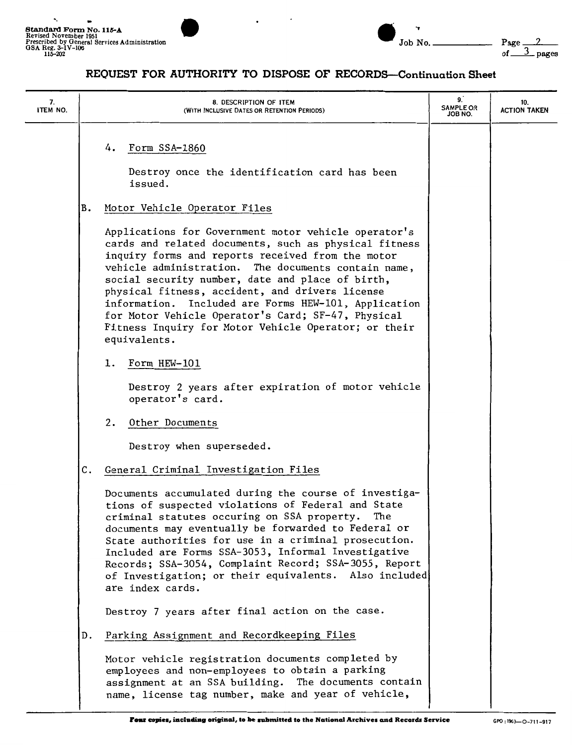

| $\overline{\phantom{0}}$ Job No. $\overline{\phantom{0}}$ | Page |
|-----------------------------------------------------------|------|

#### **REQUEST FOR AUTHORITY TO DISPOSE OF RECORDS-Continuation Sheet**

| 7.<br>ITEM NO. | 8. DESCRIPTION OF ITEM<br>(WITH INCLUSIVE DATES OR RETENTION PERIODS)                                                                                                                                                                                                                                                                                                                                                                                                                                                  | 9.<br><b>SAMPLE OR</b><br>JOB NO. | 10.<br><b>ACTION TAKEN</b> |
|----------------|------------------------------------------------------------------------------------------------------------------------------------------------------------------------------------------------------------------------------------------------------------------------------------------------------------------------------------------------------------------------------------------------------------------------------------------------------------------------------------------------------------------------|-----------------------------------|----------------------------|
|                | Form SSA-1860<br>4.<br>Destroy once the identification card has been<br>issued.                                                                                                                                                                                                                                                                                                                                                                                                                                        |                                   |                            |
|                | Motor Vehicle Operator Files<br>B.                                                                                                                                                                                                                                                                                                                                                                                                                                                                                     |                                   |                            |
|                | Applications for Government motor vehicle operator's<br>cards and related documents, such as physical fitness<br>inquiry forms and reports received from the motor<br>vehicle administration. The documents contain name,<br>social security number, date and place of birth,<br>physical fitness, accident, and drivers license<br>information. Included are Forms HEW-101, Application<br>for Motor Vehicle Operator's Card; SF-47, Physical<br>Fitness Inquiry for Motor Vehicle Operator; or their<br>equivalents. |                                   |                            |
|                | Form HEW-101<br>1.                                                                                                                                                                                                                                                                                                                                                                                                                                                                                                     |                                   |                            |
|                | Destroy 2 years after expiration of motor vehicle<br>operator's card.                                                                                                                                                                                                                                                                                                                                                                                                                                                  |                                   |                            |
|                | 2.<br>Other Documents                                                                                                                                                                                                                                                                                                                                                                                                                                                                                                  |                                   |                            |
|                | Destroy when superseded.                                                                                                                                                                                                                                                                                                                                                                                                                                                                                               |                                   |                            |
|                | C.<br>General Criminal Investigation Files                                                                                                                                                                                                                                                                                                                                                                                                                                                                             |                                   |                            |
|                | Documents accumulated during the course of investiga-<br>tions of suspected violations of Federal and State<br>criminal statutes occuring on SSA property.<br>The<br>documents may eventually be forwarded to Federal or<br>State authorities for use in a criminal prosecution.<br>Included are Forms SSA-3053, Informal Investigative<br>Records; SSA-3054, Complaint Record; SSA-3055, Report<br>of Investigation; or their equivalents. Also included<br>are index cards.                                          |                                   |                            |
|                | Destroy 7 years after final action on the case.                                                                                                                                                                                                                                                                                                                                                                                                                                                                        |                                   |                            |
|                | Parking Assignment and Recordkeeping Files<br>D.                                                                                                                                                                                                                                                                                                                                                                                                                                                                       |                                   |                            |
|                | Motor vehicle registration documents completed by<br>employees and non-employees to obtain a parking<br>assignment at an SSA building. The documents contain<br>name, license tag number, make and year of vehicle,                                                                                                                                                                                                                                                                                                    |                                   |                            |